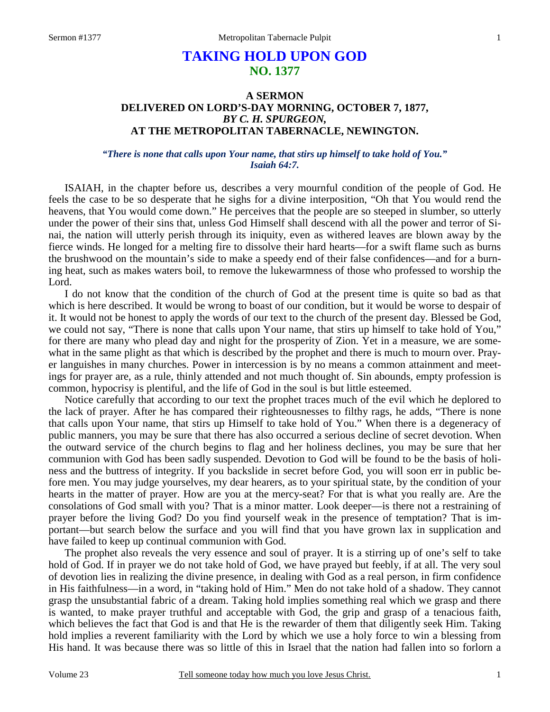# **TAKING HOLD UPON GOD NO. 1377**

## **A SERMON DELIVERED ON LORD'S-DAY MORNING, OCTOBER 7, 1877,**  *BY C. H. SPURGEON,*  **AT THE METROPOLITAN TABERNACLE, NEWINGTON.**

### *"There is none that calls upon Your name, that stirs up himself to take hold of You." Isaiah 64:7.*

ISAIAH, in the chapter before us, describes a very mournful condition of the people of God. He feels the case to be so desperate that he sighs for a divine interposition, "Oh that You would rend the heavens, that You would come down." He perceives that the people are so steeped in slumber, so utterly under the power of their sins that, unless God Himself shall descend with all the power and terror of Sinai, the nation will utterly perish through its iniquity, even as withered leaves are blown away by the fierce winds. He longed for a melting fire to dissolve their hard hearts—for a swift flame such as burns the brushwood on the mountain's side to make a speedy end of their false confidences—and for a burning heat, such as makes waters boil, to remove the lukewarmness of those who professed to worship the Lord.

I do not know that the condition of the church of God at the present time is quite so bad as that which is here described. It would be wrong to boast of our condition, but it would be worse to despair of it. It would not be honest to apply the words of our text to the church of the present day. Blessed be God, we could not say, "There is none that calls upon Your name, that stirs up himself to take hold of You," for there are many who plead day and night for the prosperity of Zion. Yet in a measure, we are somewhat in the same plight as that which is described by the prophet and there is much to mourn over. Prayer languishes in many churches. Power in intercession is by no means a common attainment and meetings for prayer are, as a rule, thinly attended and not much thought of. Sin abounds, empty profession is common, hypocrisy is plentiful, and the life of God in the soul is but little esteemed.

Notice carefully that according to our text the prophet traces much of the evil which he deplored to the lack of prayer. After he has compared their righteousnesses to filthy rags, he adds, "There is none that calls upon Your name, that stirs up Himself to take hold of You." When there is a degeneracy of public manners, you may be sure that there has also occurred a serious decline of secret devotion. When the outward service of the church begins to flag and her holiness declines, you may be sure that her communion with God has been sadly suspended. Devotion to God will be found to be the basis of holiness and the buttress of integrity. If you backslide in secret before God, you will soon err in public before men. You may judge yourselves, my dear hearers, as to your spiritual state, by the condition of your hearts in the matter of prayer. How are you at the mercy-seat? For that is what you really are. Are the consolations of God small with you? That is a minor matter. Look deeper—is there not a restraining of prayer before the living God? Do you find yourself weak in the presence of temptation? That is important—but search below the surface and you will find that you have grown lax in supplication and have failed to keep up continual communion with God.

The prophet also reveals the very essence and soul of prayer. It is a stirring up of one's self to take hold of God. If in prayer we do not take hold of God, we have prayed but feebly, if at all. The very soul of devotion lies in realizing the divine presence, in dealing with God as a real person, in firm confidence in His faithfulness—in a word, in "taking hold of Him." Men do not take hold of a shadow*.* They cannot grasp the unsubstantial fabric of a dream. Taking hold implies something real which we grasp and there is wanted, to make prayer truthful and acceptable with God, the grip and grasp of a tenacious faith, which believes the fact that God is and that He is the rewarder of them that diligently seek Him. Taking hold implies a reverent familiarity with the Lord by which we use a holy force to win a blessing from His hand. It was because there was so little of this in Israel that the nation had fallen into so forlorn a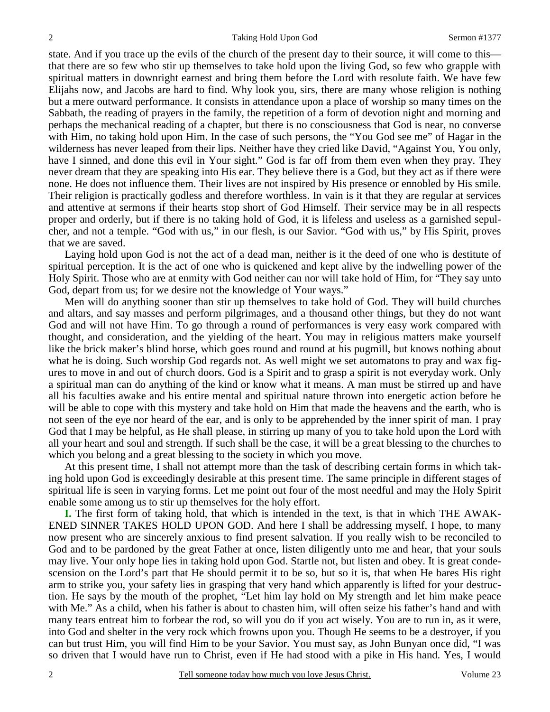state. And if you trace up the evils of the church of the present day to their source, it will come to this that there are so few who stir up themselves to take hold upon the living God, so few who grapple with spiritual matters in downright earnest and bring them before the Lord with resolute faith. We have few Elijahs now, and Jacobs are hard to find. Why look you, sirs, there are many whose religion is nothing but a mere outward performance. It consists in attendance upon a place of worship so many times on the Sabbath, the reading of prayers in the family, the repetition of a form of devotion night and morning and perhaps the mechanical reading of a chapter, but there is no consciousness that God is near, no converse with Him, no taking hold upon Him. In the case of such persons, the "You God see me" of Hagar in the wilderness has never leaped from their lips. Neither have they cried like David, "Against You, You only, have I sinned, and done this evil in Your sight." God is far off from them even when they pray. They never dream that they are speaking into His ear. They believe there is a God, but they act as if there were none. He does not influence them. Their lives are not inspired by His presence or ennobled by His smile. Their religion is practically godless and therefore worthless. In vain is it that they are regular at services and attentive at sermons if their hearts stop short of God Himself. Their service may be in all respects proper and orderly, but if there is no taking hold of God, it is lifeless and useless as a garnished sepulcher, and not a temple. "God with us," in our flesh, is our Savior. "God with us," by His Spirit, proves that we are saved.

Laying hold upon God is not the act of a dead man, neither is it the deed of one who is destitute of spiritual perception. It is the act of one who is quickened and kept alive by the indwelling power of the Holy Spirit. Those who are at enmity with God neither can nor will take hold of Him, for "They say unto God, depart from us; for we desire not the knowledge of Your ways."

Men will do anything sooner than stir up themselves to take hold of God. They will build churches and altars, and say masses and perform pilgrimages, and a thousand other things, but they do not want God and will not have Him. To go through a round of performances is very easy work compared with thought, and consideration, and the yielding of the heart. You may in religious matters make yourself like the brick maker's blind horse, which goes round and round at his pugmill, but knows nothing about what he is doing. Such worship God regards not. As well might we set automatons to pray and wax figures to move in and out of church doors. God is a Spirit and to grasp a spirit is not everyday work. Only a spiritual man can do anything of the kind or know what it means. A man must be stirred up and have all his faculties awake and his entire mental and spiritual nature thrown into energetic action before he will be able to cope with this mystery and take hold on Him that made the heavens and the earth, who is not seen of the eye nor heard of the ear, and is only to be apprehended by the inner spirit of man. I pray God that I may be helpful, as He shall please, in stirring up many of you to take hold upon the Lord with all your heart and soul and strength. If such shall be the case, it will be a great blessing to the churches to which you belong and a great blessing to the society in which you move.

At this present time, I shall not attempt more than the task of describing certain forms in which taking hold upon God is exceedingly desirable at this present time. The same principle in different stages of spiritual life is seen in varying forms. Let me point out four of the most needful and may the Holy Spirit enable some among us to stir up themselves for the holy effort.

**I.** The first form of taking hold, that which is intended in the text, is that in which THE AWAK-ENED SINNER TAKES HOLD UPON GOD. And here I shall be addressing myself, I hope, to many now present who are sincerely anxious to find present salvation. If you really wish to be reconciled to God and to be pardoned by the great Father at once, listen diligently unto me and hear, that your souls may live. Your only hope lies in taking hold upon God. Startle not, but listen and obey. It is great condescension on the Lord's part that He should permit it to be so, but so it is, that when He bares His right arm to strike you, your safety lies in grasping that very hand which apparently is lifted for your destruction. He says by the mouth of the prophet, "Let him lay hold on My strength and let him make peace with Me." As a child, when his father is about to chasten him, will often seize his father's hand and with many tears entreat him to forbear the rod, so will you do if you act wisely. You are to run in, as it were, into God and shelter in the very rock which frowns upon you. Though He seems to be a destroyer, if you can but trust Him, you will find Him to be your Savior. You must say, as John Bunyan once did, "I was so driven that I would have run to Christ, even if He had stood with a pike in His hand. Yes, I would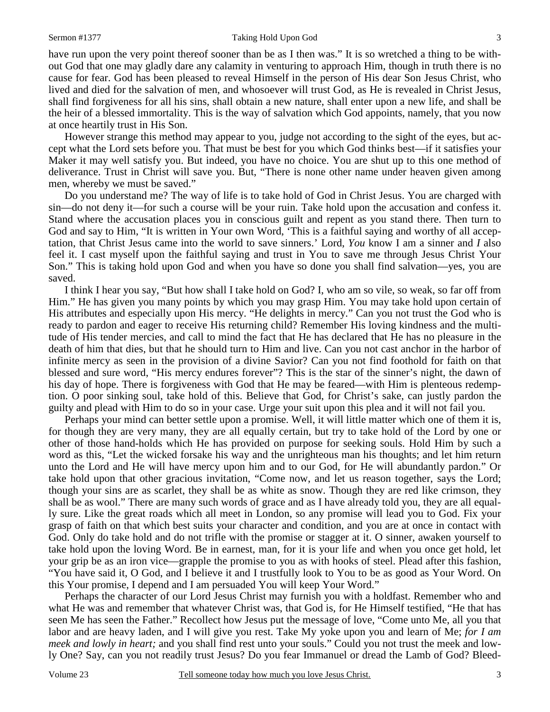#### Sermon #1377 Taking Hold Upon God

have run upon the very point thereof sooner than be as I then was." It is so wretched a thing to be without God that one may gladly dare any calamity in venturing to approach Him, though in truth there is no cause for fear. God has been pleased to reveal Himself in the person of His dear Son Jesus Christ, who lived and died for the salvation of men, and whosoever will trust God, as He is revealed in Christ Jesus, shall find forgiveness for all his sins, shall obtain a new nature, shall enter upon a new life, and shall be the heir of a blessed immortality. This is the way of salvation which God appoints, namely, that you now at once heartily trust in His Son.

However strange this method may appear to you, judge not according to the sight of the eyes, but accept what the Lord sets before you. That must be best for you which God thinks best—if it satisfies your Maker it may well satisfy you. But indeed, you have no choice. You are shut up to this one method of deliverance. Trust in Christ will save you. But, "There is none other name under heaven given among men, whereby we must be saved."

Do you understand me? The way of life is to take hold of God in Christ Jesus. You are charged with sin—do not deny it—for such a course will be your ruin. Take hold upon the accusation and confess it. Stand where the accusation places you in conscious guilt and repent as you stand there. Then turn to God and say to Him, "It is written in Your own Word, 'This is a faithful saying and worthy of all acceptation, that Christ Jesus came into the world to save sinners.' Lord, *You* know I am a sinner and *I* also feel it. I cast myself upon the faithful saying and trust in You to save me through Jesus Christ Your Son." This is taking hold upon God and when you have so done you shall find salvation—yes, you are saved.

I think I hear you say, "But how shall I take hold on God? I, who am so vile, so weak, so far off from Him." He has given you many points by which you may grasp Him. You may take hold upon certain of His attributes and especially upon His mercy. "He delights in mercy." Can you not trust the God who is ready to pardon and eager to receive His returning child? Remember His loving kindness and the multitude of His tender mercies, and call to mind the fact that He has declared that He has no pleasure in the death of him that dies, but that he should turn to Him and live. Can you not cast anchor in the harbor of infinite mercy as seen in the provision of a divine Savior? Can you not find foothold for faith on that blessed and sure word, "His mercy endures forever"? This is the star of the sinner's night, the dawn of his day of hope. There is forgiveness with God that He may be feared—with Him is plenteous redemption. O poor sinking soul, take hold of this. Believe that God, for Christ's sake, can justly pardon the guilty and plead with Him to do so in your case. Urge your suit upon this plea and it will not fail you.

Perhaps your mind can better settle upon a promise. Well, it will little matter which one of them it is, for though they are very many, they are all equally certain, but try to take hold of the Lord by one or other of those hand-holds which He has provided on purpose for seeking souls. Hold Him by such a word as this, "Let the wicked forsake his way and the unrighteous man his thoughts; and let him return unto the Lord and He will have mercy upon him and to our God, for He will abundantly pardon." Or take hold upon that other gracious invitation, "Come now, and let us reason together, says the Lord; though your sins are as scarlet, they shall be as white as snow. Though they are red like crimson, they shall be as wool." There are many such words of grace and as I have already told you, they are all equally sure. Like the great roads which all meet in London, so any promise will lead you to God. Fix your grasp of faith on that which best suits your character and condition, and you are at once in contact with God. Only do take hold and do not trifle with the promise or stagger at it. O sinner, awaken yourself to take hold upon the loving Word. Be in earnest, man, for it is your life and when you once get hold, let your grip be as an iron vice—grapple the promise to you as with hooks of steel. Plead after this fashion, "You have said it, O God, and I believe it and I trustfully look to You to be as good as Your Word. On this Your promise, I depend and I am persuaded You will keep Your Word."

Perhaps the character of our Lord Jesus Christ may furnish you with a holdfast. Remember who and what He was and remember that whatever Christ was, that God is, for He Himself testified, "He that has seen Me has seen the Father." Recollect how Jesus put the message of love, "Come unto Me, all you that labor and are heavy laden, and I will give you rest. Take My yoke upon you and learn of Me; *for I am meek and lowly in heart;* and you shall find rest unto your souls." Could you not trust the meek and lowly One? Say, can you not readily trust Jesus? Do you fear Immanuel or dread the Lamb of God? Bleed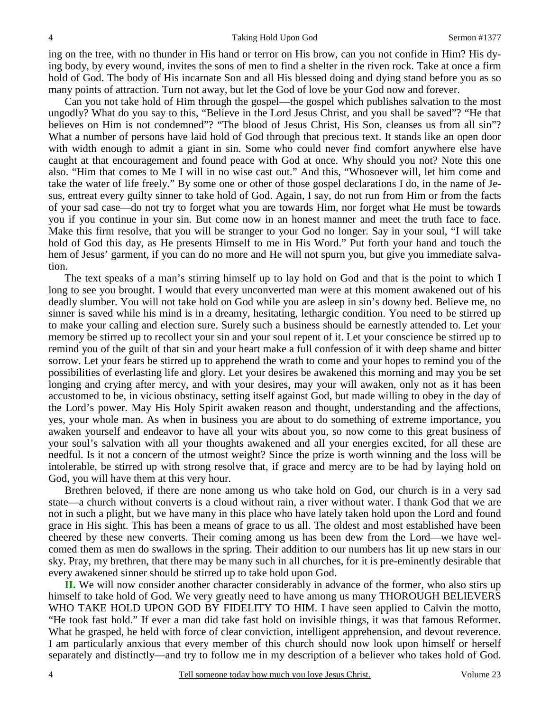ing on the tree, with no thunder in His hand or terror on His brow, can you not confide in Him? His dying body, by every wound, invites the sons of men to find a shelter in the riven rock. Take at once a firm hold of God. The body of His incarnate Son and all His blessed doing and dying stand before you as so many points of attraction. Turn not away, but let the God of love be your God now and forever.

Can you not take hold of Him through the gospel—the gospel which publishes salvation to the most ungodly? What do you say to this, "Believe in the Lord Jesus Christ, and you shall be saved"? "He that believes on Him is not condemned"? "The blood of Jesus Christ, His Son, cleanses us from all sin"? What a number of persons have laid hold of God through that precious text. It stands like an open door with width enough to admit a giant in sin. Some who could never find comfort anywhere else have caught at that encouragement and found peace with God at once. Why should you not? Note this one also. "Him that comes to Me I will in no wise cast out." And this, "Whosoever will, let him come and take the water of life freely." By some one or other of those gospel declarations I do, in the name of Jesus, entreat every guilty sinner to take hold of God. Again, I say, do not run from Him or from the facts of your sad case—do not try to forget what you are towards Him, nor forget what He must be towards you if you continue in your sin. But come now in an honest manner and meet the truth face to face. Make this firm resolve, that you will be stranger to your God no longer. Say in your soul, "I will take hold of God this day, as He presents Himself to me in His Word." Put forth your hand and touch the hem of Jesus' garment, if you can do no more and He will not spurn you, but give you immediate salvation.

The text speaks of a man's stirring himself up to lay hold on God and that is the point to which I long to see you brought. I would that every unconverted man were at this moment awakened out of his deadly slumber. You will not take hold on God while you are asleep in sin's downy bed. Believe me, no sinner is saved while his mind is in a dreamy, hesitating, lethargic condition. You need to be stirred up to make your calling and election sure. Surely such a business should be earnestly attended to. Let your memory be stirred up to recollect your sin and your soul repent of it. Let your conscience be stirred up to remind you of the guilt of that sin and your heart make a full confession of it with deep shame and bitter sorrow. Let your fears be stirred up to apprehend the wrath to come and your hopes to remind you of the possibilities of everlasting life and glory. Let your desires be awakened this morning and may you be set longing and crying after mercy, and with your desires, may your will awaken, only not as it has been accustomed to be, in vicious obstinacy, setting itself against God, but made willing to obey in the day of the Lord's power. May His Holy Spirit awaken reason and thought, understanding and the affections, yes, your whole man. As when in business you are about to do something of extreme importance, you awaken yourself and endeavor to have all your wits about you, so now come to this great business of your soul's salvation with all your thoughts awakened and all your energies excited, for all these are needful. Is it not a concern of the utmost weight? Since the prize is worth winning and the loss will be intolerable, be stirred up with strong resolve that, if grace and mercy are to be had by laying hold on God, you will have them at this very hour.

Brethren beloved, if there are none among us who take hold on God, our church is in a very sad state—a church without converts is a cloud without rain, a river without water. I thank God that we are not in such a plight, but we have many in this place who have lately taken hold upon the Lord and found grace in His sight. This has been a means of grace to us all. The oldest and most established have been cheered by these new converts. Their coming among us has been dew from the Lord—we have welcomed them as men do swallows in the spring. Their addition to our numbers has lit up new stars in our sky. Pray, my brethren, that there may be many such in all churches, for it is pre-eminently desirable that every awakened sinner should be stirred up to take hold upon God.

**II.** We will now consider another character considerably in advance of the former, who also stirs up himself to take hold of God. We very greatly need to have among us many THOROUGH BELIEVERS WHO TAKE HOLD UPON GOD BY FIDELITY TO HIM. I have seen applied to Calvin the motto, "He took fast hold." If ever a man did take fast hold on invisible things, it was that famous Reformer. What he grasped, he held with force of clear conviction, intelligent apprehension, and devout reverence. I am particularly anxious that every member of this church should now look upon himself or herself separately and distinctly—and try to follow me in my description of a believer who takes hold of God.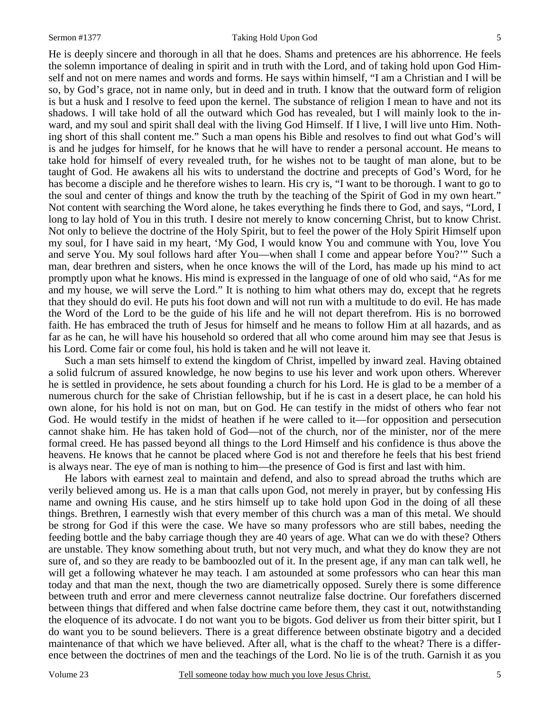He is deeply sincere and thorough in all that he does. Shams and pretences are his abhorrence. He feels the solemn importance of dealing in spirit and in truth with the Lord, and of taking hold upon God Himself and not on mere names and words and forms. He says within himself, "I am a Christian and I will be so, by God's grace, not in name only, but in deed and in truth. I know that the outward form of religion is but a husk and I resolve to feed upon the kernel. The substance of religion I mean to have and not its shadows. I will take hold of all the outward which God has revealed, but I will mainly look to the inward, and my soul and spirit shall deal with the living God Himself. If I live, I will live unto Him. Nothing short of this shall content me." Such a man opens his Bible and resolves to find out what God's will is and he judges for himself, for he knows that he will have to render a personal account. He means to take hold for himself of every revealed truth, for he wishes not to be taught of man alone, but to be taught of God. He awakens all his wits to understand the doctrine and precepts of God's Word, for he has become a disciple and he therefore wishes to learn. His cry is, "I want to be thorough. I want to go to the soul and center of things and know the truth by the teaching of the Spirit of God in my own heart." Not content with searching the Word alone, he takes everything he finds there to God, and says, "Lord, I long to lay hold of You in this truth. I desire not merely to know concerning Christ, but to know Christ. Not only to believe the doctrine of the Holy Spirit, but to feel the power of the Holy Spirit Himself upon my soul, for I have said in my heart, 'My God, I would know You and commune with You, love You and serve You. My soul follows hard after You—when shall I come and appear before You?'" Such a man, dear brethren and sisters, when he once knows the will of the Lord, has made up his mind to act promptly upon what he knows. His mind is expressed in the language of one of old who said, "As for me and my house, we will serve the Lord." It is nothing to him what others may do, except that he regrets that they should do evil. He puts his foot down and will not run with a multitude to do evil. He has made the Word of the Lord to be the guide of his life and he will not depart therefrom. His is no borrowed faith. He has embraced the truth of Jesus for himself and he means to follow Him at all hazards, and as far as he can, he will have his household so ordered that all who come around him may see that Jesus is his Lord. Come fair or come foul, his hold is taken and he will not leave it.

Such a man sets himself to extend the kingdom of Christ, impelled by inward zeal. Having obtained a solid fulcrum of assured knowledge, he now begins to use his lever and work upon others. Wherever he is settled in providence, he sets about founding a church for his Lord. He is glad to be a member of a numerous church for the sake of Christian fellowship, but if he is cast in a desert place, he can hold his own alone, for his hold is not on man, but on God. He can testify in the midst of others who fear not God. He would testify in the midst of heathen if he were called to it—for opposition and persecution cannot shake him. He has taken hold of God—not of the church, nor of the minister, nor of the mere formal creed. He has passed beyond all things to the Lord Himself and his confidence is thus above the heavens. He knows that he cannot be placed where God is not and therefore he feels that his best friend is always near. The eye of man is nothing to him—the presence of God is first and last with him.

He labors with earnest zeal to maintain and defend, and also to spread abroad the truths which are verily believed among us. He is a man that calls upon God, not merely in prayer, but by confessing His name and owning His cause, and he stirs himself up to take hold upon God in the doing of all these things. Brethren, I earnestly wish that every member of this church was a man of this metal. We should be strong for God if this were the case. We have so many professors who are still babes, needing the feeding bottle and the baby carriage though they are 40 years of age. What can we do with these? Others are unstable. They know something about truth, but not very much, and what they do know they are not sure of, and so they are ready to be bamboozled out of it. In the present age, if any man can talk well, he will get a following whatever he may teach. I am astounded at some professors who can hear this man today and that man the next, though the two are diametrically opposed. Surely there is some difference between truth and error and mere cleverness cannot neutralize false doctrine. Our forefathers discerned between things that differed and when false doctrine came before them, they cast it out, notwithstanding the eloquence of its advocate. I do not want you to be bigots. God deliver us from their bitter spirit, but I do want you to be sound believers. There is a great difference between obstinate bigotry and a decided maintenance of that which we have believed. After all, what is the chaff to the wheat? There is a difference between the doctrines of men and the teachings of the Lord. No lie is of the truth. Garnish it as you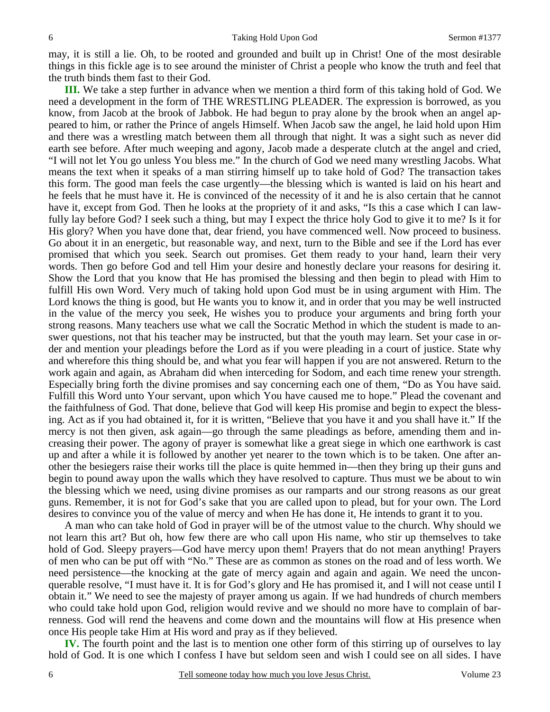may, it is still a lie. Oh, to be rooted and grounded and built up in Christ! One of the most desirable things in this fickle age is to see around the minister of Christ a people who know the truth and feel that the truth binds them fast to their God.

**III.** We take a step further in advance when we mention a third form of this taking hold of God. We need a development in the form of THE WRESTLING PLEADER. The expression is borrowed, as you know, from Jacob at the brook of Jabbok. He had begun to pray alone by the brook when an angel appeared to him, or rather the Prince of angels Himself. When Jacob saw the angel, he laid hold upon Him and there was a wrestling match between them all through that night. It was a sight such as never did earth see before. After much weeping and agony, Jacob made a desperate clutch at the angel and cried, "I will not let You go unless You bless me." In the church of God we need many wrestling Jacobs. What means the text when it speaks of a man stirring himself up to take hold of God? The transaction takes this form. The good man feels the case urgently—the blessing which is wanted is laid on his heart and he feels that he must have it. He is convinced of the necessity of it and he is also certain that he cannot have it, except from God. Then he looks at the propriety of it and asks, "Is this a case which I can lawfully lay before God? I seek such a thing, but may I expect the thrice holy God to give it to me? Is it for His glory? When you have done that, dear friend, you have commenced well. Now proceed to business. Go about it in an energetic, but reasonable way, and next, turn to the Bible and see if the Lord has ever promised that which you seek. Search out promises. Get them ready to your hand, learn their very words. Then go before God and tell Him your desire and honestly declare your reasons for desiring it. Show the Lord that you know that He has promised the blessing and then begin to plead with Him to fulfill His own Word. Very much of taking hold upon God must be in using argument with Him. The Lord knows the thing is good, but He wants you to know it, and in order that you may be well instructed in the value of the mercy you seek, He wishes you to produce your arguments and bring forth your strong reasons. Many teachers use what we call the Socratic Method in which the student is made to answer questions, not that his teacher may be instructed, but that the youth may learn. Set your case in order and mention your pleadings before the Lord as if you were pleading in a court of justice. State why and wherefore this thing should be, and what you fear will happen if you are not answered. Return to the work again and again, as Abraham did when interceding for Sodom, and each time renew your strength. Especially bring forth the divine promises and say concerning each one of them, "Do as You have said. Fulfill this Word unto Your servant, upon which You have caused me to hope." Plead the covenant and the faithfulness of God. That done, believe that God will keep His promise and begin to expect the blessing. Act as if you had obtained it, for it is written, "Believe that you have it and you shall have it." If the mercy is not then given, ask again—go through the same pleadings as before, amending them and increasing their power. The agony of prayer is somewhat like a great siege in which one earthwork is cast up and after a while it is followed by another yet nearer to the town which is to be taken. One after another the besiegers raise their works till the place is quite hemmed in—then they bring up their guns and begin to pound away upon the walls which they have resolved to capture. Thus must we be about to win the blessing which we need, using divine promises as our ramparts and our strong reasons as our great guns. Remember, it is not for God's sake that you are called upon to plead, but for your own. The Lord desires to convince you of the value of mercy and when He has done it, He intends to grant it to you.

A man who can take hold of God in prayer will be of the utmost value to the church. Why should we not learn this art? But oh, how few there are who call upon His name, who stir up themselves to take hold of God. Sleepy prayers—God have mercy upon them! Prayers that do not mean anything! Prayers of men who can be put off with "No." These are as common as stones on the road and of less worth. We need persistence—the knocking at the gate of mercy again and again and again. We need the unconquerable resolve, "I must have it. It is for God's glory and He has promised it, and I will not cease until I obtain it." We need to see the majesty of prayer among us again. If we had hundreds of church members who could take hold upon God, religion would revive and we should no more have to complain of barrenness. God will rend the heavens and come down and the mountains will flow at His presence when once His people take Him at His word and pray as if they believed.

**IV.** The fourth point and the last is to mention one other form of this stirring up of ourselves to lay hold of God. It is one which I confess I have but seldom seen and wish I could see on all sides. I have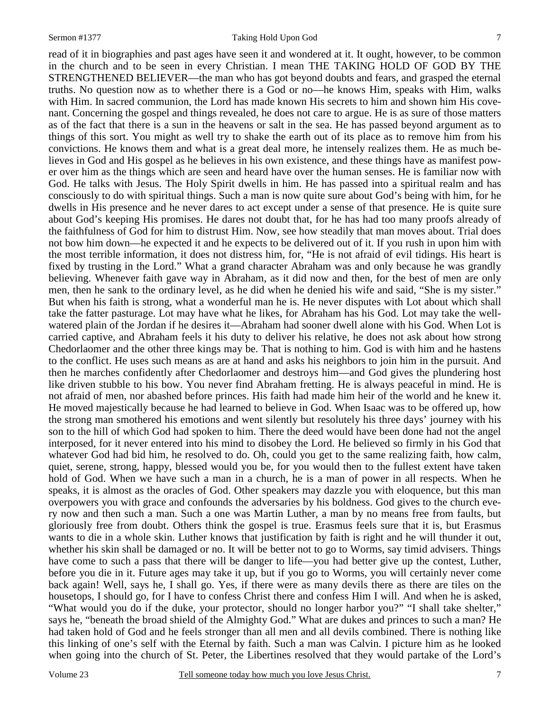#### Sermon #1377 Taking Hold Upon God

read of it in biographies and past ages have seen it and wondered at it. It ought, however, to be common in the church and to be seen in every Christian. I mean THE TAKING HOLD OF GOD BY THE STRENGTHENED BELIEVER—the man who has got beyond doubts and fears, and grasped the eternal truths. No question now as to whether there is a God or no—he knows Him, speaks with Him, walks with Him. In sacred communion, the Lord has made known His secrets to him and shown him His covenant. Concerning the gospel and things revealed, he does not care to argue. He is as sure of those matters as of the fact that there is a sun in the heavens or salt in the sea. He has passed beyond argument as to things of this sort. You might as well try to shake the earth out of its place as to remove him from his convictions. He knows them and what is a great deal more, he intensely realizes them. He as much believes in God and His gospel as he believes in his own existence, and these things have as manifest power over him as the things which are seen and heard have over the human senses. He is familiar now with God. He talks with Jesus. The Holy Spirit dwells in him. He has passed into a spiritual realm and has consciously to do with spiritual things. Such a man is now quite sure about God's being with him, for he dwells in His presence and he never dares to act except under a sense of that presence. He is quite sure about God's keeping His promises. He dares not doubt that, for he has had too many proofs already of the faithfulness of God for him to distrust Him. Now, see how steadily that man moves about. Trial does not bow him down—he expected it and he expects to be delivered out of it. If you rush in upon him with the most terrible information, it does not distress him, for, "He is not afraid of evil tidings. His heart is fixed by trusting in the Lord." What a grand character Abraham was and only because he was grandly believing. Whenever faith gave way in Abraham, as it did now and then, for the best of men are only men, then he sank to the ordinary level, as he did when he denied his wife and said, "She is my sister." But when his faith is strong, what a wonderful man he is. He never disputes with Lot about which shall take the fatter pasturage. Lot may have what he likes, for Abraham has his God. Lot may take the wellwatered plain of the Jordan if he desires it—Abraham had sooner dwell alone with his God. When Lot is carried captive, and Abraham feels it his duty to deliver his relative, he does not ask about how strong Chedorlaomer and the other three kings may be. That is nothing to him. God is with him and he hastens to the conflict. He uses such means as are at hand and asks his neighbors to join him in the pursuit. And then he marches confidently after Chedorlaomer and destroys him—and God gives the plundering host like driven stubble to his bow. You never find Abraham fretting. He is always peaceful in mind. He is not afraid of men, nor abashed before princes. His faith had made him heir of the world and he knew it. He moved majestically because he had learned to believe in God. When Isaac was to be offered up, how the strong man smothered his emotions and went silently but resolutely his three days' journey with his son to the hill of which God had spoken to him. There the deed would have been done had not the angel interposed, for it never entered into his mind to disobey the Lord. He believed so firmly in his God that whatever God had bid him, he resolved to do. Oh, could you get to the same realizing faith, how calm, quiet, serene, strong, happy, blessed would you be, for you would then to the fullest extent have taken hold of God. When we have such a man in a church, he is a man of power in all respects. When he speaks, it is almost as the oracles of God. Other speakers may dazzle you with eloquence, but this man overpowers you with grace and confounds the adversaries by his boldness. God gives to the church every now and then such a man. Such a one was Martin Luther, a man by no means free from faults, but gloriously free from doubt. Others think the gospel is true. Erasmus feels sure that it is, but Erasmus wants to die in a whole skin. Luther knows that justification by faith is right and he will thunder it out, whether his skin shall be damaged or no. It will be better not to go to Worms, say timid advisers. Things have come to such a pass that there will be danger to life—you had better give up the contest, Luther, before you die in it. Future ages may take it up, but if you go to Worms, you will certainly never come back again! Well, says he, I shall go. Yes, if there were as many devils there as there are tiles on the housetops, I should go, for I have to confess Christ there and confess Him I will. And when he is asked, "What would you do if the duke, your protector, should no longer harbor you?" "I shall take shelter," says he, "beneath the broad shield of the Almighty God." What are dukes and princes to such a man? He had taken hold of God and he feels stronger than all men and all devils combined. There is nothing like this linking of one's self with the Eternal by faith. Such a man was Calvin. I picture him as he looked when going into the church of St. Peter, the Libertines resolved that they would partake of the Lord's